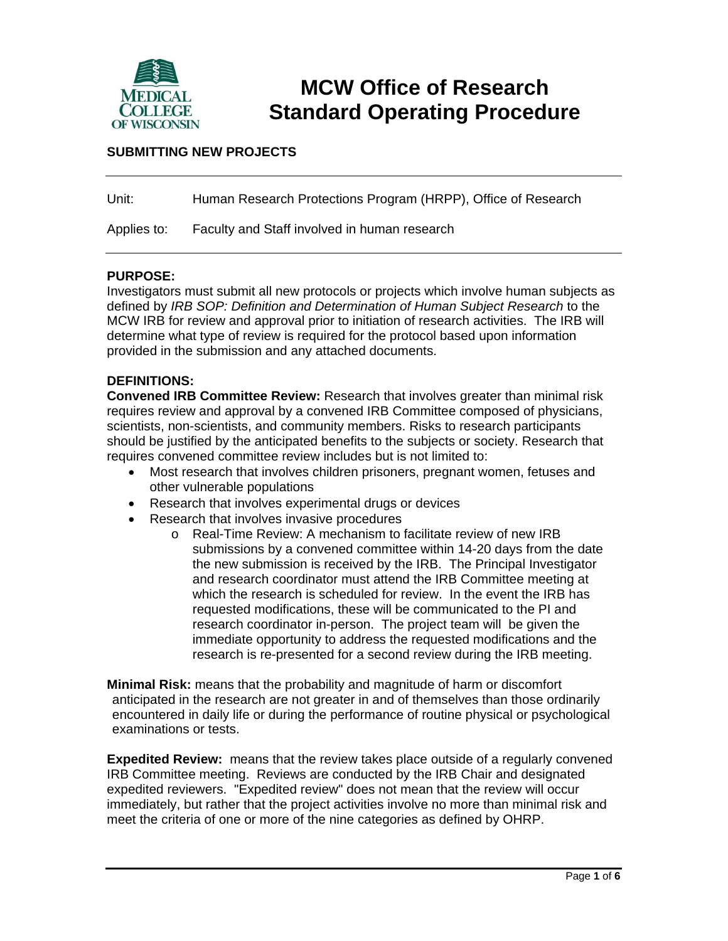

# **MCW Office of Research Standard Operating Procedure**

## **SUBMITTING NEW PROJECTS**

| Unit:       | Human Research Protections Program (HRPP), Office of Research |
|-------------|---------------------------------------------------------------|
| Applies to: | Faculty and Staff involved in human research                  |

#### **PURPOSE:**

Investigators must submit all new protocols or projects which involve human subjects as defined by *IRB SOP: Definition and Determination of Human Subject Research* to the MCW IRB for review and approval prior to initiation of research activities. The IRB will determine what type of review is required for the protocol based upon information provided in the submission and any attached documents.

#### **DEFINITIONS:**

**Convened IRB Committee Review:** Research that involves greater than minimal risk requires review and approval by a convened IRB Committee composed of physicians, scientists, non-scientists, and community members. Risks to research participants should be justified by the anticipated benefits to the subjects or society. Research that requires convened committee review includes but is not limited to:

- Most research that involves children prisoners, pregnant women, fetuses and other vulnerable populations
- Research that involves experimental drugs or devices
- Research that involves invasive procedures
	- o Real-Time Review: A mechanism to facilitate review of new IRB submissions by a convened committee within 14-20 days from the date the new submission is received by the IRB. The Principal Investigator and research coordinator must attend the IRB Committee meeting at which the research is scheduled for review. In the event the IRB has requested modifications, these will be communicated to the PI and research coordinator in-person. The project team will be given the immediate opportunity to address the requested modifications and the research is re-presented for a second review during the IRB meeting.

**Minimal Risk:** means that the probability and magnitude of harm or discomfort anticipated in the research are not greater in and of themselves than those ordinarily encountered in daily life or during the performance of routine physical or psychological examinations or tests.

**Expedited Review:** means that the review takes place outside of a regularly convened IRB Committee meeting. Reviews are conducted by the IRB Chair and designated expedited reviewers. "Expedited review" does not mean that the review will occur immediately, but rather that the project activities involve no more than minimal risk and meet the criteria of one or more of the nine categories as defined by OHRP.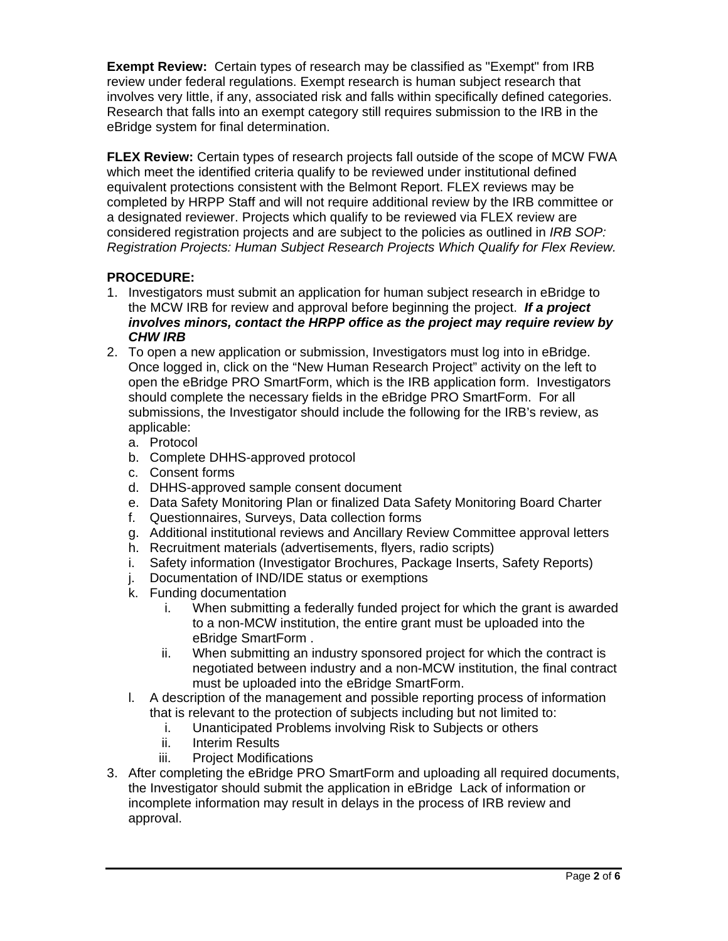**Exempt Review:** Certain types of research may be classified as "Exempt" from IRB review under federal regulations. Exempt research is human subject research that involves very little, if any, associated risk and falls within specifically defined categories. Research that falls into an exempt category still requires submission to the IRB in the eBridge system for final determination.

**FLEX Review:** Certain types of research projects fall outside of the scope of MCW FWA which meet the identified criteria qualify to be reviewed under institutional defined equivalent protections consistent with the Belmont Report. FLEX reviews may be completed by HRPP Staff and will not require additional review by the IRB committee or a designated reviewer. Projects which qualify to be reviewed via FLEX review are considered registration projects and are subject to the policies as outlined in *IRB SOP: Registration Projects: Human Subject Research Projects Which Qualify for Flex Review.*

# **PROCEDURE:**

- 1. Investigators must submit an application for human subject research in eBridge to the MCW IRB for review and approval before beginning the project. *If a project involves minors, contact the HRPP office as the project may require review by CHW IRB*
- 2. To open a new application or submission, Investigators must log into in eBridge. Once logged in, click on the "New Human Research Project" activity on the left to open the eBridge PRO SmartForm, which is the IRB application form. Investigators should complete the necessary fields in the eBridge PRO SmartForm. For all submissions, the Investigator should include the following for the IRB's review, as applicable:
	- a. Protocol
	- b. Complete DHHS-approved protocol
	- c. Consent forms
	- d. DHHS-approved sample consent document
	- e. Data Safety Monitoring Plan or finalized Data Safety Monitoring Board Charter
	- f. Questionnaires, Surveys, Data collection forms
	- g. Additional institutional reviews and Ancillary Review Committee approval letters
	- h. Recruitment materials (advertisements, flyers, radio scripts)
	- i. Safety information (Investigator Brochures, Package Inserts, Safety Reports)
	- j. Documentation of IND/IDE status or exemptions
	- k. Funding documentation
		- i. When submitting a federally funded project for which the grant is awarded to a non-MCW institution, the entire grant must be uploaded into the eBridge SmartForm .
		- ii. When submitting an industry sponsored project for which the contract is negotiated between industry and a non-MCW institution, the final contract must be uploaded into the eBridge SmartForm.
	- l. A description of the management and possible reporting process of information that is relevant to the protection of subjects including but not limited to:
		- i. Unanticipated Problems involving Risk to Subjects or others
		- ii. Interim Results
		- iii. Project Modifications
- 3. After completing the eBridge PRO SmartForm and uploading all required documents, the Investigator should submit the application in eBridge Lack of information or incomplete information may result in delays in the process of IRB review and approval.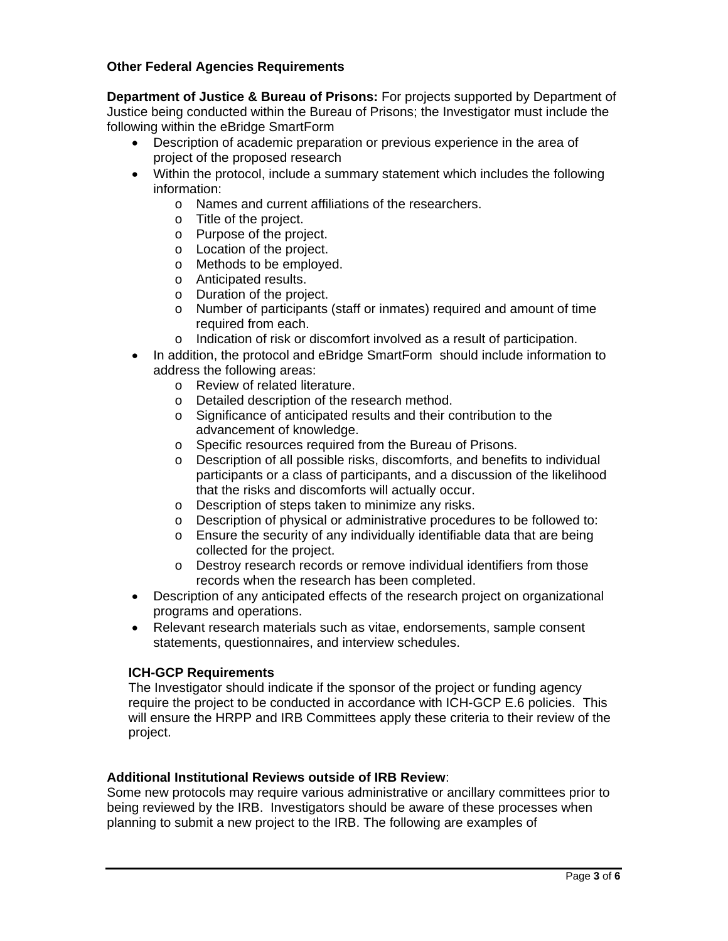## **Other Federal Agencies Requirements**

**Department of Justice & Bureau of Prisons:** For projects supported by Department of Justice being conducted within the Bureau of Prisons; the Investigator must include the following within the eBridge SmartForm

- Description of academic preparation or previous experience in the area of project of the proposed research
- Within the protocol, include a summary statement which includes the following information:
	- o Names and current affiliations of the researchers.
	- o Title of the project.
	- o Purpose of the project.
	- o Location of the project.
	- o Methods to be employed.
	- o Anticipated results.
	- o Duration of the project.
	- o Number of participants (staff or inmates) required and amount of time required from each.
	- o Indication of risk or discomfort involved as a result of participation.
- In addition, the protocol and eBridge SmartForm should include information to address the following areas:
	- o Review of related literature.
	- o Detailed description of the research method.
	- o Significance of anticipated results and their contribution to the advancement of knowledge.
	- o Specific resources required from the Bureau of Prisons.
	- o Description of all possible risks, discomforts, and benefits to individual participants or a class of participants, and a discussion of the likelihood that the risks and discomforts will actually occur.
	- o Description of steps taken to minimize any risks.
	- o Description of physical or administrative procedures to be followed to:
	- o Ensure the security of any individually identifiable data that are being collected for the project.
	- o Destroy research records or remove individual identifiers from those records when the research has been completed.
- Description of any anticipated effects of the research project on organizational programs and operations.
- Relevant research materials such as vitae, endorsements, sample consent statements, questionnaires, and interview schedules.

### **ICH-GCP Requirements**

The Investigator should indicate if the sponsor of the project or funding agency require the project to be conducted in accordance with ICH-GCP E.6 policies. This will ensure the HRPP and IRB Committees apply these criteria to their review of the project.

### **Additional Institutional Reviews outside of IRB Review**:

Some new protocols may require various administrative or ancillary committees prior to being reviewed by the IRB. Investigators should be aware of these processes when planning to submit a new project to the IRB. The following are examples of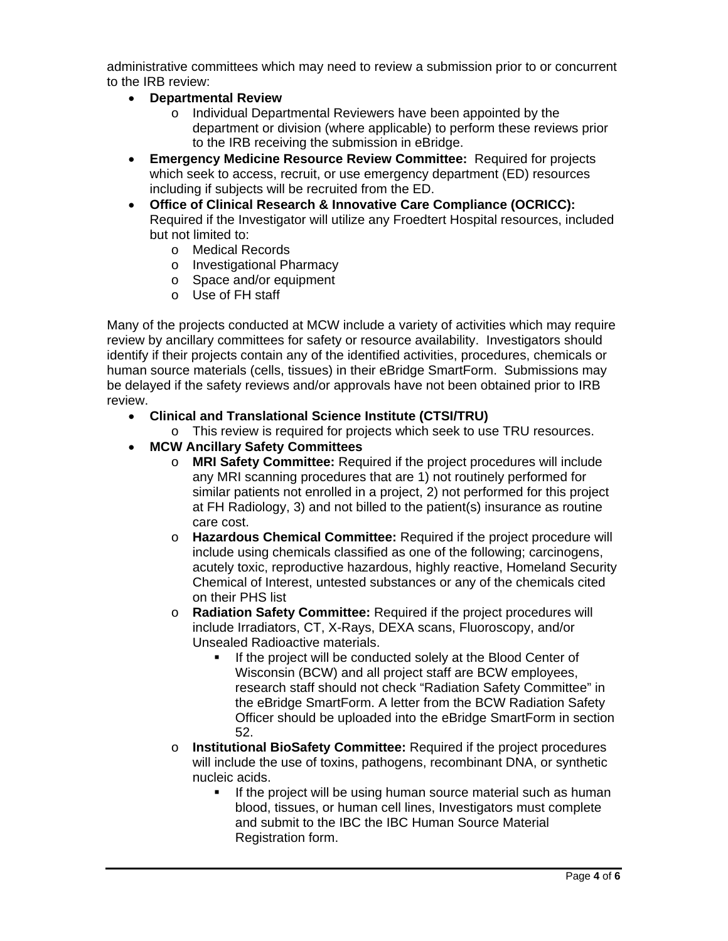administrative committees which may need to review a submission prior to or concurrent to the IRB review:

- **Departmental Review** 
	- o Individual Departmental Reviewers have been appointed by the department or division (where applicable) to perform these reviews prior to the IRB receiving the submission in eBridge.
- **Emergency Medicine Resource Review Committee:** Required for projects which seek to access, recruit, or use emergency department (ED) resources including if subjects will be recruited from the ED.
- **Office of Clinical Research & Innovative Care Compliance (OCRICC):** Required if the Investigator will utilize any Froedtert Hospital resources, included but not limited to:
	- o Medical Records
	- o Investigational Pharmacy
	- o Space and/or equipment
	- o Use of FH staff

Many of the projects conducted at MCW include a variety of activities which may require review by ancillary committees for safety or resource availability. Investigators should identify if their projects contain any of the identified activities, procedures, chemicals or human source materials (cells, tissues) in their eBridge SmartForm. Submissions may be delayed if the safety reviews and/or approvals have not been obtained prior to IRB review.

- **Clinical and Translational Science Institute (CTSI/TRU)** 
	- o This review is required for projects which seek to use TRU resources.
- **MCW Ancillary Safety Committees** 
	- o **MRI Safety Committee:** Required if the project procedures will include any MRI scanning procedures that are 1) not routinely performed for similar patients not enrolled in a project, 2) not performed for this project at FH Radiology, 3) and not billed to the patient(s) insurance as routine care cost.
	- o **Hazardous Chemical Committee:** Required if the project procedure will include using chemicals classified as one of the following; carcinogens, acutely toxic, reproductive hazardous, highly reactive, Homeland Security Chemical of Interest, untested substances or any of the chemicals cited on their PHS list
	- o **Radiation Safety Committee:** Required if the project procedures will include Irradiators, CT, X-Rays, DEXA scans, Fluoroscopy, and/or Unsealed Radioactive materials.
		- If the project will be conducted solely at the Blood Center of Wisconsin (BCW) and all project staff are BCW employees, research staff should not check "Radiation Safety Committee" in the eBridge SmartForm. A letter from the BCW Radiation Safety Officer should be uploaded into the eBridge SmartForm in section 52.
	- o **Institutional BioSafety Committee:** Required if the project procedures will include the use of toxins, pathogens, recombinant DNA, or synthetic nucleic acids.
		- If the project will be using human source material such as human blood, tissues, or human cell lines, Investigators must complete and submit to the IBC the IBC Human Source Material Registration form.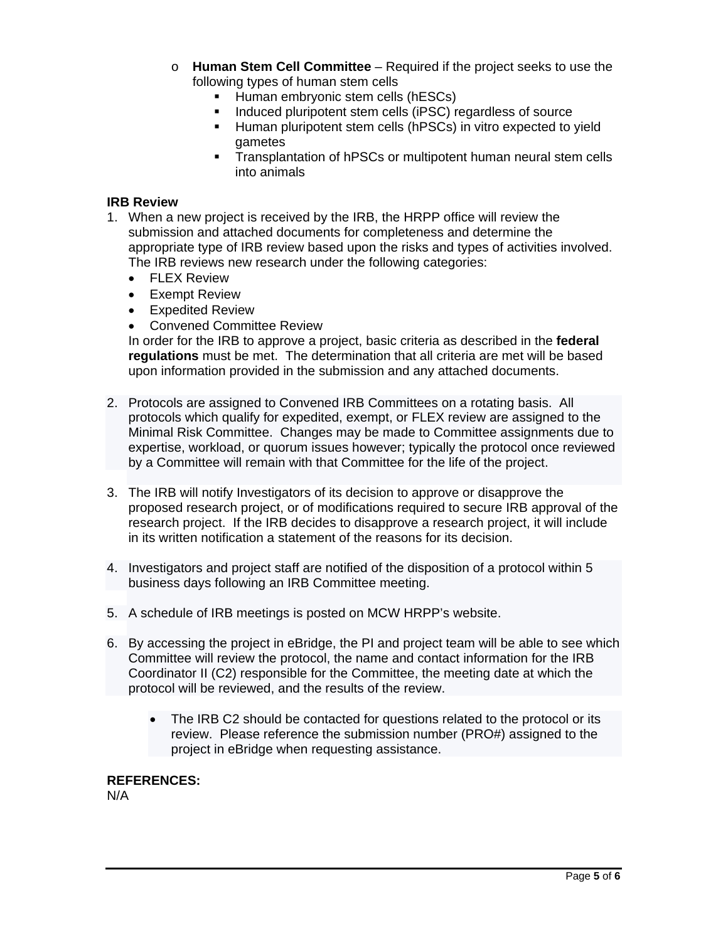- o **Human Stem Cell Committee** Required if the project seeks to use the following types of human stem cells
	- Human embryonic stem cells (hESCs)
	- **Induced pluripotent stem cells (iPSC) regardless of source**
	- **Human pluripotent stem cells (hPSCs) in vitro expected to yield** gametes
	- Transplantation of hPSCs or multipotent human neural stem cells into animals

#### **IRB Review**

- 1. When a new project is received by the IRB, the HRPP office will review the submission and attached documents for completeness and determine the appropriate type of IRB review based upon the risks and types of activities involved. The IRB reviews new research under the following categories:
	- FLEX Review
	- Exempt Review
	- Expedited Review
	- Convened Committee Review

In order for the IRB to approve a project, basic criteria as described in the **federal regulations** must be met. The determination that all criteria are met will be based upon information provided in the submission and any attached documents.

- 2. Protocols are assigned to Convened IRB Committees on a rotating basis. All protocols which qualify for expedited, exempt, or FLEX review are assigned to the Minimal Risk Committee. Changes may be made to Committee assignments due to expertise, workload, or quorum issues however; typically the protocol once reviewed by a Committee will remain with that Committee for the life of the project.
- 3. The IRB will notify Investigators of its decision to approve or disapprove the proposed research project, or of modifications required to secure IRB approval of the research project. If the IRB decides to disapprove a research project, it will include in its written notification a statement of the reasons for its decision.
- 4. Investigators and project staff are notified of the disposition of a protocol within 5 business days following an IRB Committee meeting.
- 5. A schedule of IRB meetings is posted on MCW HRPP's website.
- 6. By accessing the project in eBridge, the PI and project team will be able to see which Committee will review the protocol, the name and contact information for the IRB Coordinator II (C2) responsible for the Committee, the meeting date at which the protocol will be reviewed, and the results of the review.
	- The IRB C2 should be contacted for questions related to the protocol or its review. Please reference the submission number (PRO#) assigned to the project in eBridge when requesting assistance.

## **REFERENCES:**

N/A